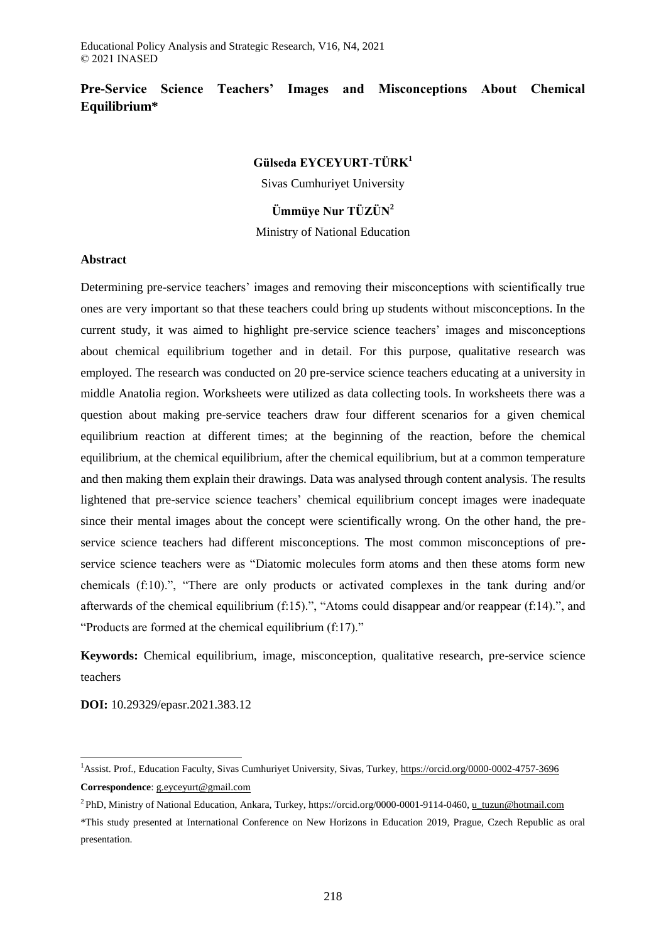# **Pre-Service Science Teachers' Images and Misconceptions About Chemical Equilibrium\***

# **Gülseda EYCEYURT-TÜRK<sup>1</sup>**

Sivas Cumhuriyet University

# **Ümmüye Nur TÜZÜN<sup>2</sup>**

Ministry of National Education

### **Abstract**

Determining pre-service teachers' images and removing their misconceptions with scientifically true ones are very important so that these teachers could bring up students without misconceptions. In the current study, it was aimed to highlight pre-service science teachers' images and misconceptions about chemical equilibrium together and in detail. For this purpose, qualitative research was employed. The research was conducted on 20 pre-service science teachers educating at a university in middle Anatolia region. Worksheets were utilized as data collecting tools. In worksheets there was a question about making pre-service teachers draw four different scenarios for a given chemical equilibrium reaction at different times; at the beginning of the reaction, before the chemical equilibrium, at the chemical equilibrium, after the chemical equilibrium, but at a common temperature and then making them explain their drawings. Data was analysed through content analysis. The results lightened that pre-service science teachers' chemical equilibrium concept images were inadequate since their mental images about the concept were scientifically wrong. On the other hand, the preservice science teachers had different misconceptions. The most common misconceptions of preservice science teachers were as "Diatomic molecules form atoms and then these atoms form new chemicals (f:10).", "There are only products or activated complexes in the tank during and/or afterwards of the chemical equilibrium (f:15).", "Atoms could disappear and/or reappear (f:14).", and "Products are formed at the chemical equilibrium (f:17)."

**Keywords:** Chemical equilibrium, image, misconception, qualitative research, pre-service science teachers

**DOI:** 10.29329/epasr.2021.383.12

 $\overline{\phantom{a}}$ 

<sup>&</sup>lt;sup>1</sup>Assist. Prof., Education Faculty, Sivas Cumhuriyet University, Sivas, Turkey,<https://orcid.org/0000-0002-4757-3696> **Correspondence**[: g.eyceyurt@gmail.com](mailto:g.eyceyurt@gmail.com)

<sup>2</sup>PhD, Ministry of National Education, Ankara, Turkey, https://orcid.org/0000-0001-9114-0460[, u\\_tuzun@hotmail.com](mailto:u_tuzun@hotmail.com)

<sup>\*</sup>This study presented at International Conference on New Horizons in Education 2019, Prague, Czech Republic as oral presentation.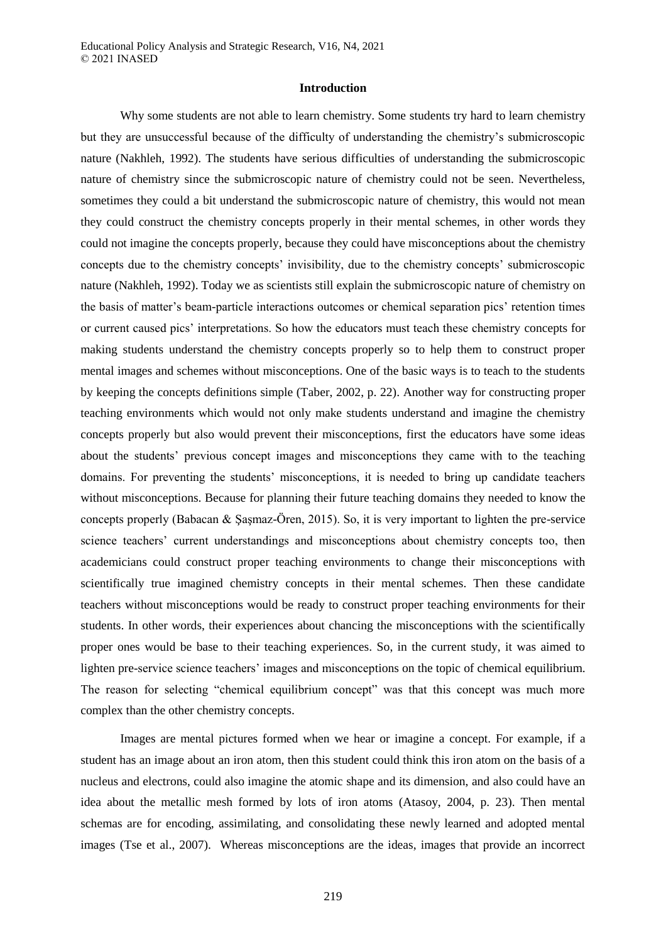#### **Introduction**

Why some students are not able to learn chemistry. Some students try hard to learn chemistry but they are unsuccessful because of the difficulty of understanding the chemistry's submicroscopic nature (Nakhleh, 1992). The students have serious difficulties of understanding the submicroscopic nature of chemistry since the submicroscopic nature of chemistry could not be seen. Nevertheless, sometimes they could a bit understand the submicroscopic nature of chemistry, this would not mean they could construct the chemistry concepts properly in their mental schemes, in other words they could not imagine the concepts properly, because they could have misconceptions about the chemistry concepts due to the chemistry concepts' invisibility, due to the chemistry concepts' submicroscopic nature (Nakhleh, 1992). Today we as scientists still explain the submicroscopic nature of chemistry on the basis of matter's beam-particle interactions outcomes or chemical separation pics' retention times or current caused pics' interpretations. So how the educators must teach these chemistry concepts for making students understand the chemistry concepts properly so to help them to construct proper mental images and schemes without misconceptions. One of the basic ways is to teach to the students by keeping the concepts definitions simple (Taber, 2002, p. 22). Another way for constructing proper teaching environments which would not only make students understand and imagine the chemistry concepts properly but also would prevent their misconceptions, first the educators have some ideas about the students' previous concept images and misconceptions they came with to the teaching domains. For preventing the students' misconceptions, it is needed to bring up candidate teachers without misconceptions. Because for planning their future teaching domains they needed to know the concepts properly (Babacan & Şaşmaz-Ören, 2015). So, it is very important to lighten the pre-service science teachers' current understandings and misconceptions about chemistry concepts too, then academicians could construct proper teaching environments to change their misconceptions with scientifically true imagined chemistry concepts in their mental schemes. Then these candidate teachers without misconceptions would be ready to construct proper teaching environments for their students. In other words, their experiences about chancing the misconceptions with the scientifically proper ones would be base to their teaching experiences. So, in the current study, it was aimed to lighten pre-service science teachers' images and misconceptions on the topic of chemical equilibrium. The reason for selecting "chemical equilibrium concept" was that this concept was much more complex than the other chemistry concepts.

Images are mental pictures formed when we hear or imagine a concept. For example, if a student has an image about an iron atom, then this student could think this iron atom on the basis of a nucleus and electrons, could also imagine the atomic shape and its dimension, and also could have an idea about the metallic mesh formed by lots of iron atoms (Atasoy, 2004, p. 23). Then mental schemas are for encoding, assimilating, and consolidating these newly learned and adopted mental images (Tse et al., 2007). Whereas misconceptions are the ideas, images that provide an incorrect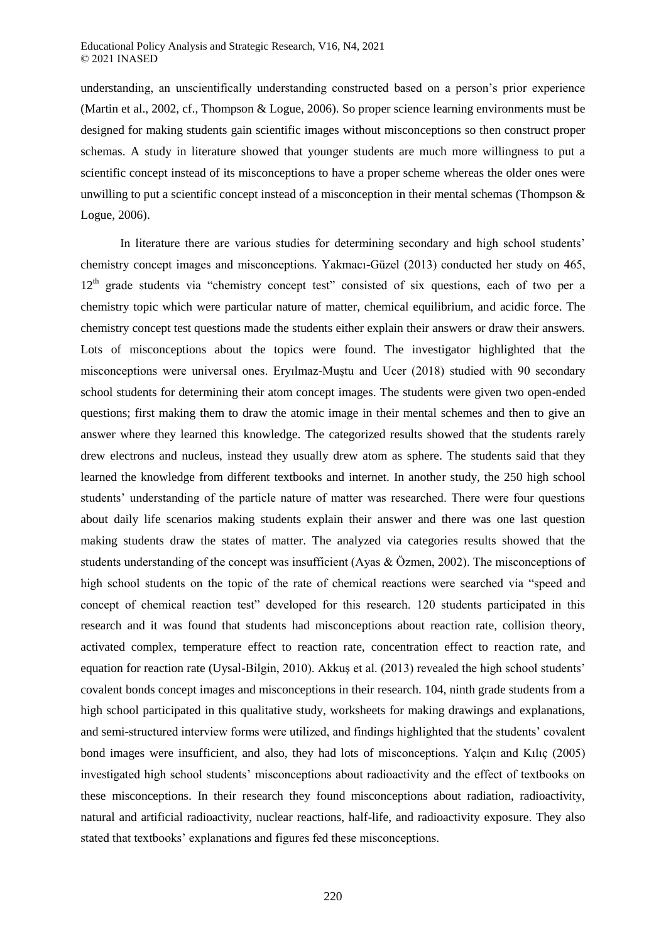understanding, an unscientifically understanding constructed based on a person's prior experience (Martin et al., 2002, cf., Thompson & Logue, 2006). So proper science learning environments must be designed for making students gain scientific images without misconceptions so then construct proper schemas. A study in literature showed that younger students are much more willingness to put a scientific concept instead of its misconceptions to have a proper scheme whereas the older ones were unwilling to put a scientific concept instead of a misconception in their mental schemas (Thompson & Logue, 2006).

In literature there are various studies for determining secondary and high school students' chemistry concept images and misconceptions. Yakmacı-Güzel (2013) conducted her study on 465, 12<sup>th</sup> grade students via "chemistry concept test" consisted of six questions, each of two per a chemistry topic which were particular nature of matter, chemical equilibrium, and acidic force. The chemistry concept test questions made the students either explain their answers or draw their answers. Lots of misconceptions about the topics were found. The investigator highlighted that the misconceptions were universal ones. Eryılmaz-Muştu and Ucer (2018) studied with 90 secondary school students for determining their atom concept images. The students were given two open-ended questions; first making them to draw the atomic image in their mental schemes and then to give an answer where they learned this knowledge. The categorized results showed that the students rarely drew electrons and nucleus, instead they usually drew atom as sphere. The students said that they learned the knowledge from different textbooks and internet. In another study, the 250 high school students' understanding of the particle nature of matter was researched. There were four questions about daily life scenarios making students explain their answer and there was one last question making students draw the states of matter. The analyzed via categories results showed that the students understanding of the concept was insufficient (Ayas & Özmen, 2002). The misconceptions of high school students on the topic of the rate of chemical reactions were searched via "speed and concept of chemical reaction test" developed for this research. 120 students participated in this research and it was found that students had misconceptions about reaction rate, collision theory, activated complex, temperature effect to reaction rate, concentration effect to reaction rate, and equation for reaction rate (Uysal-Bilgin, 2010). Akkuş et al. (2013) revealed the high school students' covalent bonds concept images and misconceptions in their research. 104, ninth grade students from a high school participated in this qualitative study, worksheets for making drawings and explanations, and semi-structured interview forms were utilized, and findings highlighted that the students' covalent bond images were insufficient, and also, they had lots of misconceptions. Yalçın and Kılıç (2005) investigated high school students' misconceptions about radioactivity and the effect of textbooks on these misconceptions. In their research they found misconceptions about radiation, radioactivity, natural and artificial radioactivity, nuclear reactions, half-life, and radioactivity exposure. They also stated that textbooks' explanations and figures fed these misconceptions.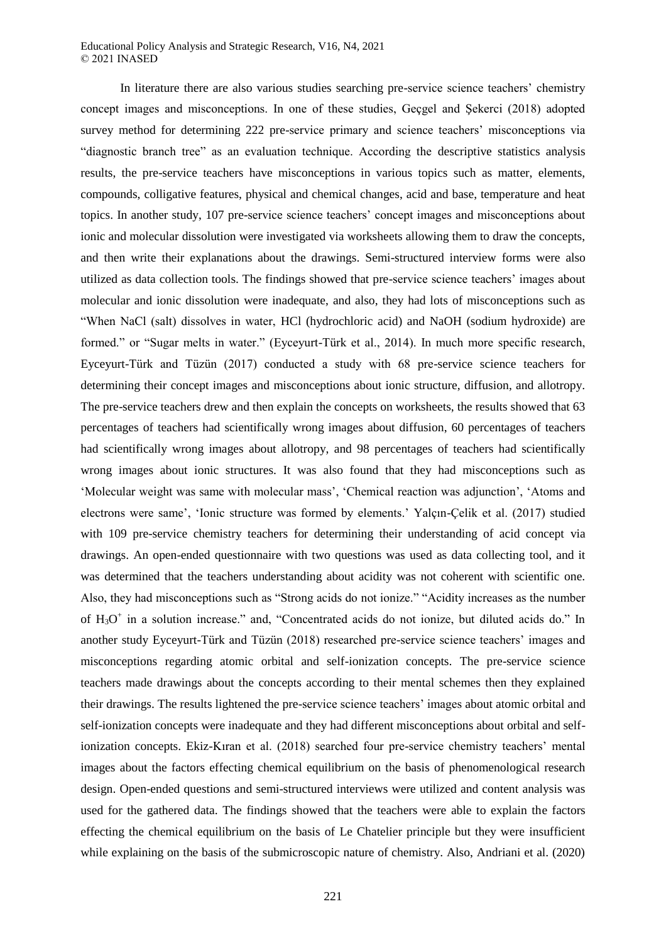In literature there are also various studies searching pre-service science teachers' chemistry concept images and misconceptions. In one of these studies, Geçgel and Şekerci (2018) adopted survey method for determining 222 pre-service primary and science teachers' misconceptions via "diagnostic branch tree" as an evaluation technique. According the descriptive statistics analysis results, the pre-service teachers have misconceptions in various topics such as matter, elements, compounds, colligative features, physical and chemical changes, acid and base, temperature and heat topics. In another study, 107 pre-service science teachers' concept images and misconceptions about ionic and molecular dissolution were investigated via worksheets allowing them to draw the concepts, and then write their explanations about the drawings. Semi-structured interview forms were also utilized as data collection tools. The findings showed that pre-service science teachers' images about molecular and ionic dissolution were inadequate, and also, they had lots of misconceptions such as "When NaCl (salt) dissolves in water, HCl (hydrochloric acid) and NaOH (sodium hydroxide) are formed." or "Sugar melts in water." (Eyceyurt-Türk et al., 2014). In much more specific research, Eyceyurt-Türk and Tüzün (2017) conducted a study with 68 pre-service science teachers for determining their concept images and misconceptions about ionic structure, diffusion, and allotropy. The pre-service teachers drew and then explain the concepts on worksheets, the results showed that 63 percentages of teachers had scientifically wrong images about diffusion, 60 percentages of teachers had scientifically wrong images about allotropy, and 98 percentages of teachers had scientifically wrong images about ionic structures. It was also found that they had misconceptions such as 'Molecular weight was same with molecular mass', 'Chemical reaction was adjunction', 'Atoms and electrons were same', 'Ionic structure was formed by elements.' Yalçın-Çelik et al. (2017) studied with 109 pre-service chemistry teachers for determining their understanding of acid concept via drawings. An open-ended questionnaire with two questions was used as data collecting tool, and it was determined that the teachers understanding about acidity was not coherent with scientific one. Also, they had misconceptions such as "Strong acids do not ionize." "Acidity increases as the number of  $H_3O^+$  in a solution increase." and, "Concentrated acids do not ionize, but diluted acids do." In another study Eyceyurt-Türk and Tüzün (2018) researched pre-service science teachers' images and misconceptions regarding atomic orbital and self-ionization concepts. The pre-service science teachers made drawings about the concepts according to their mental schemes then they explained their drawings. The results lightened the pre-service science teachers' images about atomic orbital and self-ionization concepts were inadequate and they had different misconceptions about orbital and selfionization concepts. Ekiz-Kıran et al. (2018) searched four pre-service chemistry teachers' mental images about the factors effecting chemical equilibrium on the basis of phenomenological research design. Open-ended questions and semi-structured interviews were utilized and content analysis was used for the gathered data. The findings showed that the teachers were able to explain the factors effecting the chemical equilibrium on the basis of Le Chatelier principle but they were insufficient while explaining on the basis of the submicroscopic nature of chemistry. Also, Andriani et al. (2020)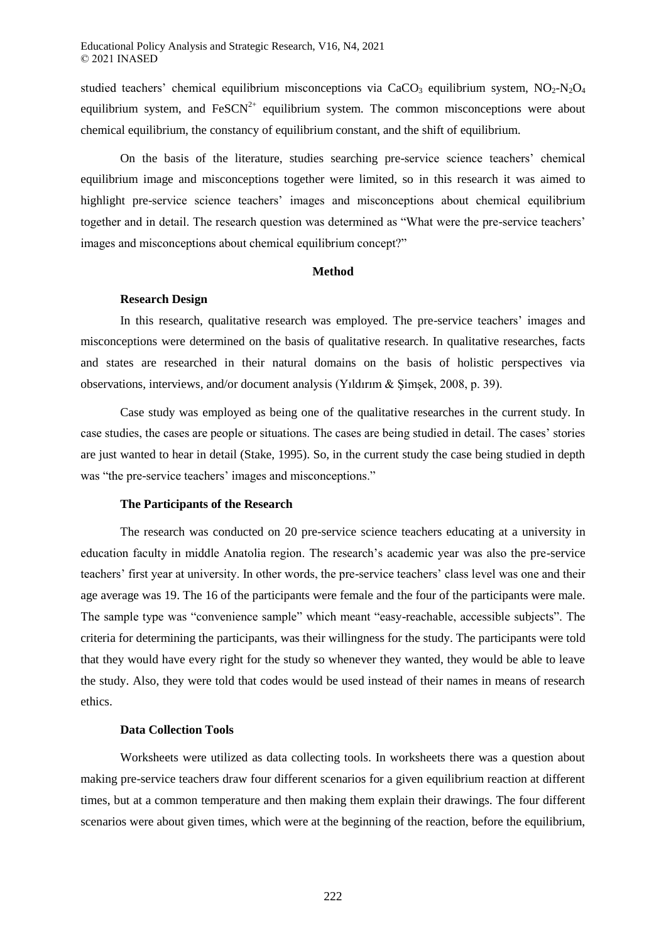studied teachers' chemical equilibrium misconceptions via CaCO<sub>3</sub> equilibrium system,  $NO<sub>2</sub>-N<sub>2</sub>O<sub>4</sub>$ equilibrium system, and  $FesCN<sup>2+</sup>$  equilibrium system. The common misconceptions were about chemical equilibrium, the constancy of equilibrium constant, and the shift of equilibrium.

On the basis of the literature, studies searching pre-service science teachers' chemical equilibrium image and misconceptions together were limited, so in this research it was aimed to highlight pre-service science teachers' images and misconceptions about chemical equilibrium together and in detail. The research question was determined as "What were the pre-service teachers' images and misconceptions about chemical equilibrium concept?"

### **Method**

### **Research Design**

In this research, qualitative research was employed. The pre-service teachers' images and misconceptions were determined on the basis of qualitative research. In qualitative researches, facts and states are researched in their natural domains on the basis of holistic perspectives via observations, interviews, and/or document analysis (Yıldırım & Şimşek, 2008, p. 39).

Case study was employed as being one of the qualitative researches in the current study. In case studies, the cases are people or situations. The cases are being studied in detail. The cases' stories are just wanted to hear in detail (Stake, 1995). So, in the current study the case being studied in depth was "the pre-service teachers' images and misconceptions."

### **The Participants of the Research**

The research was conducted on 20 pre-service science teachers educating at a university in education faculty in middle Anatolia region. The research's academic year was also the pre-service teachers' first year at university. In other words, the pre-service teachers' class level was one and their age average was 19. The 16 of the participants were female and the four of the participants were male. The sample type was "convenience sample" which meant "easy-reachable, accessible subjects". The criteria for determining the participants, was their willingness for the study. The participants were told that they would have every right for the study so whenever they wanted, they would be able to leave the study. Also, they were told that codes would be used instead of their names in means of research ethics.

### **Data Collection Tools**

Worksheets were utilized as data collecting tools. In worksheets there was a question about making pre-service teachers draw four different scenarios for a given equilibrium reaction at different times, but at a common temperature and then making them explain their drawings. The four different scenarios were about given times, which were at the beginning of the reaction, before the equilibrium,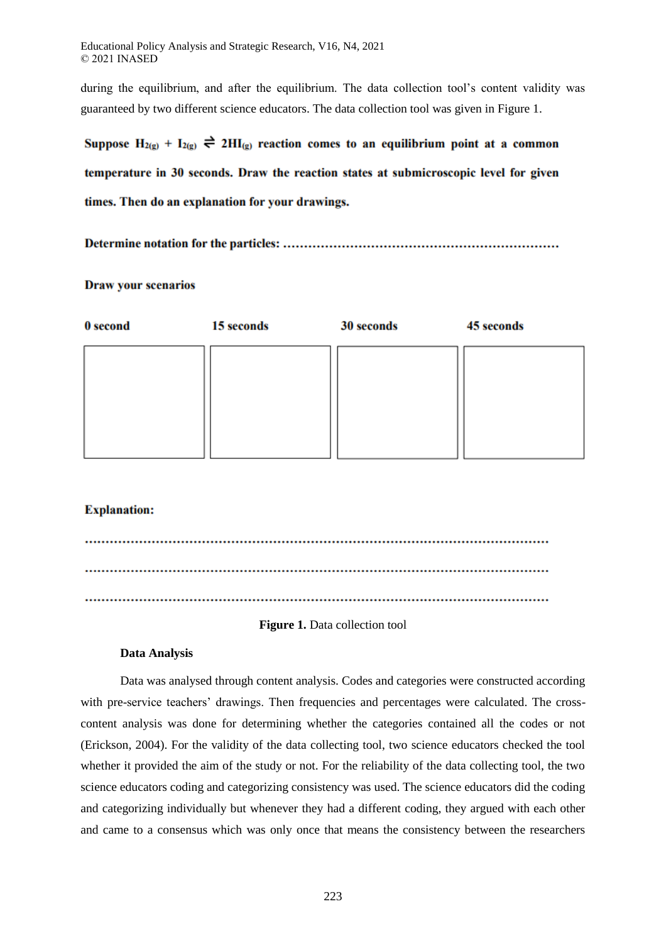during the equilibrium, and after the equilibrium. The data collection tool's content validity was guaranteed by two different science educators. The data collection tool was given in Figure 1.

Suppose  $H_{2(g)} + I_{2(g)} \rightleftharpoons 2HI_{(g)}$  reaction comes to an equilibrium point at a common temperature in 30 seconds. Draw the reaction states at submicroscopic level for given times. Then do an explanation for your drawings.

### **Draw your scenarios**

| 0 second | 15 seconds | 30 seconds | 45 seconds |
|----------|------------|------------|------------|
|          |            |            |            |
|          |            |            |            |
|          |            |            |            |
|          |            |            |            |
|          |            |            |            |

# **Explanation:**

### **Figure 1.** Data collection tool

### **Data Analysis**

Data was analysed through content analysis. Codes and categories were constructed according with pre-service teachers' drawings. Then frequencies and percentages were calculated. The crosscontent analysis was done for determining whether the categories contained all the codes or not (Erickson, 2004). For the validity of the data collecting tool, two science educators checked the tool whether it provided the aim of the study or not. For the reliability of the data collecting tool, the two science educators coding and categorizing consistency was used. The science educators did the coding and categorizing individually but whenever they had a different coding, they argued with each other and came to a consensus which was only once that means the consistency between the researchers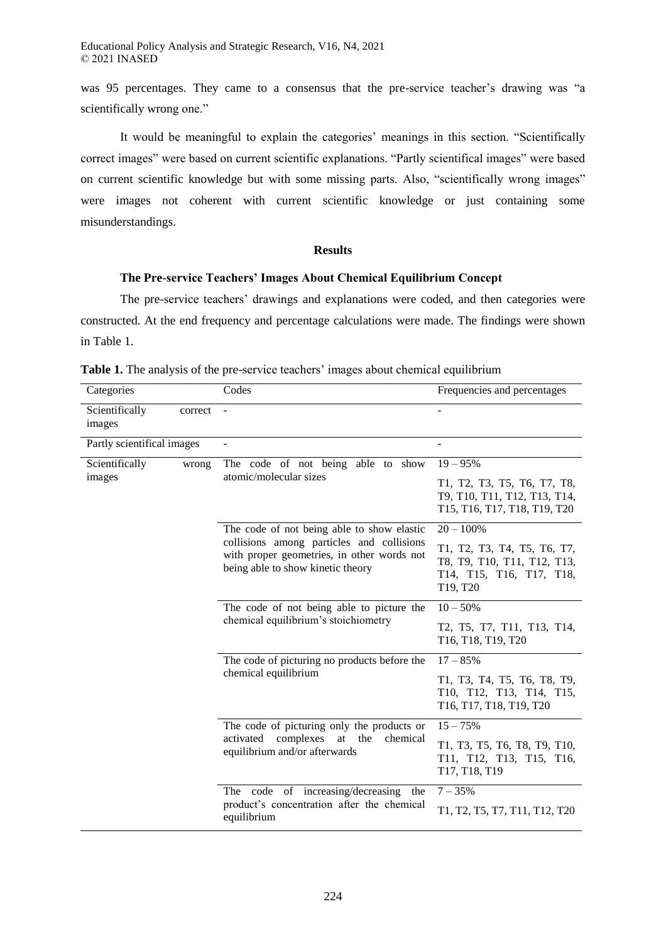Educational Policy Analysis and Strategic Research, V16, N4, 2021 © 2021 INASED

was 95 percentages. They came to a consensus that the pre-service teacher's drawing was "a scientifically wrong one."

It would be meaningful to explain the categories' meanings in this section. "Scientifically correct images" were based on current scientific explanations. "Partly scientifical images" were based on current scientific knowledge but with some missing parts. Also, "scientifically wrong images" were images not coherent with current scientific knowledge or just containing some misunderstandings.

### **Results**

# **The Pre-service Teachers' Images About Chemical Equilibrium Concept**

The pre-service teachers' drawings and explanations were coded, and then categories were constructed. At the end frequency and percentage calculations were made. The findings were shown in Table 1.

| Categories                 |         | Codes                                                                                                                                                                      | Frequencies and percentages                                                                        |
|----------------------------|---------|----------------------------------------------------------------------------------------------------------------------------------------------------------------------------|----------------------------------------------------------------------------------------------------|
| Scientifically<br>images   | correct |                                                                                                                                                                            |                                                                                                    |
| Partly scientifical images |         | ÷,                                                                                                                                                                         | $\overline{a}$                                                                                     |
| Scientifically<br>images   | wrong   | The code of not being able to show                                                                                                                                         | $19 - 95%$                                                                                         |
|                            |         | atomic/molecular sizes                                                                                                                                                     | T1, T2, T3, T5, T6, T7, T8,<br>T9, T10, T11, T12, T13, T14,<br>T15, T16, T17, T18, T19, T20        |
|                            |         | The code of not being able to show elastic<br>collisions among particles and collisions<br>with proper geometries, in other words not<br>being able to show kinetic theory | $20 - 100%$                                                                                        |
|                            |         |                                                                                                                                                                            | T1, T2, T3, T4, T5, T6, T7,<br>T8, T9, T10, T11, T12, T13,<br>T14, T15, T16, T17, T18,<br>T19, T20 |
|                            |         | The code of not being able to picture the<br>chemical equilibrium's stoichiometry                                                                                          | $10 - 50%$                                                                                         |
|                            |         |                                                                                                                                                                            | T2, T5, T7, T11, T13, T14,<br>T16, T18, T19, T20                                                   |
|                            |         | The code of picturing no products before the<br>chemical equilibrium                                                                                                       | $17 - 85%$                                                                                         |
|                            |         |                                                                                                                                                                            | T1, T3, T4, T5, T6, T8, T9,<br>T10, T12, T13, T14, T15,<br>T16, T17, T18, T19, T20                 |
|                            |         | The code of picturing only the products or<br>complexes<br>at<br>the<br>activated<br>chemical<br>equilibrium and/or afterwards                                             | $15 - 75%$                                                                                         |
|                            |         |                                                                                                                                                                            | T1, T3, T5, T6, T8, T9, T10,<br>T11, T12, T13, T15, T16,<br>T17, T18, T19                          |
|                            |         | The code of increasing/decreasing the<br>product's concentration after the chemical<br>equilibrium                                                                         | $7 - 35%$                                                                                          |
|                            |         |                                                                                                                                                                            | T1, T2, T5, T7, T11, T12, T20                                                                      |

**Table 1.** The analysis of the pre-service teachers' images about chemical equilibrium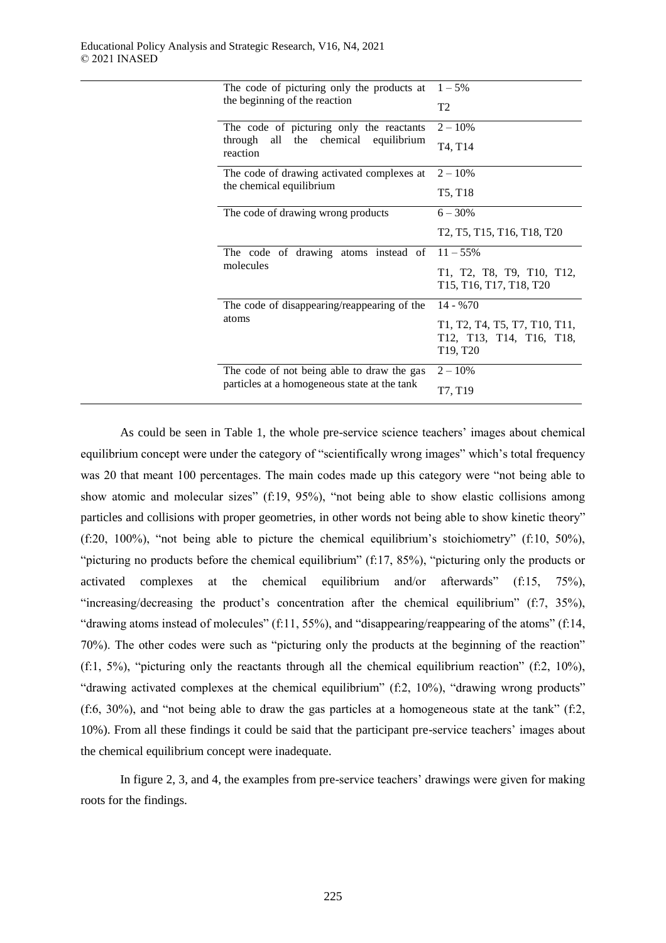| The code of picturing only the products at<br>the beginning of the reaction         | $1 - 5\%$                                                                                                                                                                                 |
|-------------------------------------------------------------------------------------|-------------------------------------------------------------------------------------------------------------------------------------------------------------------------------------------|
|                                                                                     | T <sub>2</sub>                                                                                                                                                                            |
| The code of picturing only the reactants<br>all the chemical equilibrium<br>through | $2 - 10\%$                                                                                                                                                                                |
| reaction                                                                            | T4, T14                                                                                                                                                                                   |
| The code of drawing activated complexes at                                          | $2 - 10\%$                                                                                                                                                                                |
| the chemical equilibrium                                                            | T5, T18                                                                                                                                                                                   |
| The code of drawing wrong products                                                  | $6 - 30\%$                                                                                                                                                                                |
|                                                                                     | T2, T5, T15, T16, T18, T20                                                                                                                                                                |
| The code of drawing atoms instead of $11-55\%$                                      |                                                                                                                                                                                           |
| molecules                                                                           | T1, T2, T8, T9, T10, T12,<br>T15, T16, T17, T18, T20                                                                                                                                      |
| The code of disappearing/reappearing of the                                         | $14 - 9670$                                                                                                                                                                               |
| atoms                                                                               | T <sub>1</sub> , T <sub>2</sub> , T <sub>4</sub> , T <sub>5</sub> , T <sub>7</sub> , T <sub>10</sub> , T <sub>11</sub> ,<br>T12, T13, T14, T16, T18,<br>T <sub>19</sub> , T <sub>20</sub> |
| The code of not being able to draw the gas                                          | $2 - 10\%$                                                                                                                                                                                |
| particles at a homogeneous state at the tank                                        | T7, T19                                                                                                                                                                                   |

As could be seen in Table 1, the whole pre-service science teachers' images about chemical equilibrium concept were under the category of "scientifically wrong images" which's total frequency was 20 that meant 100 percentages. The main codes made up this category were "not being able to show atomic and molecular sizes" (f:19, 95%), "not being able to show elastic collisions among particles and collisions with proper geometries, in other words not being able to show kinetic theory" (f:20, 100%), "not being able to picture the chemical equilibrium's stoichiometry" (f:10, 50%), "picturing no products before the chemical equilibrium" (f:17, 85%), "picturing only the products or activated complexes at the chemical equilibrium and/or afterwards" (f:15, 75%), "increasing/decreasing the product's concentration after the chemical equilibrium" (f:7, 35%), "drawing atoms instead of molecules" (f:11, 55%), and "disappearing/reappearing of the atoms" (f:14, 70%). The other codes were such as "picturing only the products at the beginning of the reaction" (f:1, 5%), "picturing only the reactants through all the chemical equilibrium reaction" (f:2, 10%), "drawing activated complexes at the chemical equilibrium" (f:2, 10%), "drawing wrong products" (f:6, 30%), and "not being able to draw the gas particles at a homogeneous state at the tank" (f:2, 10%). From all these findings it could be said that the participant pre-service teachers' images about the chemical equilibrium concept were inadequate.

In figure 2, 3, and 4, the examples from pre-service teachers' drawings were given for making roots for the findings.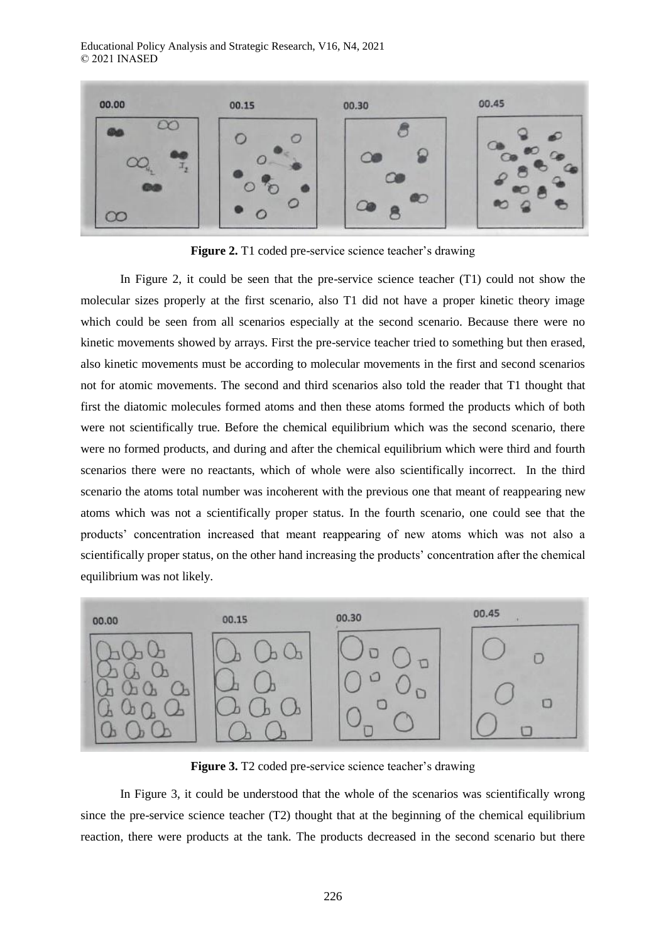Educational Policy Analysis and Strategic Research, V16, N4, 2021 © 2021 INASED



**Figure 2.** T1 coded pre-service science teacher's drawing

In Figure 2, it could be seen that the pre-service science teacher (T1) could not show the molecular sizes properly at the first scenario, also T1 did not have a proper kinetic theory image which could be seen from all scenarios especially at the second scenario. Because there were no kinetic movements showed by arrays. First the pre-service teacher tried to something but then erased, also kinetic movements must be according to molecular movements in the first and second scenarios not for atomic movements. The second and third scenarios also told the reader that T1 thought that first the diatomic molecules formed atoms and then these atoms formed the products which of both were not scientifically true. Before the chemical equilibrium which was the second scenario, there were no formed products, and during and after the chemical equilibrium which were third and fourth scenarios there were no reactants, which of whole were also scientifically incorrect. In the third scenario the atoms total number was incoherent with the previous one that meant of reappearing new atoms which was not a scientifically proper status. In the fourth scenario, one could see that the products' concentration increased that meant reappearing of new atoms which was not also a scientifically proper status, on the other hand increasing the products' concentration after the chemical equilibrium was not likely.



**Figure 3.** T2 coded pre-service science teacher's drawing

In Figure 3, it could be understood that the whole of the scenarios was scientifically wrong since the pre-service science teacher (T2) thought that at the beginning of the chemical equilibrium reaction, there were products at the tank. The products decreased in the second scenario but there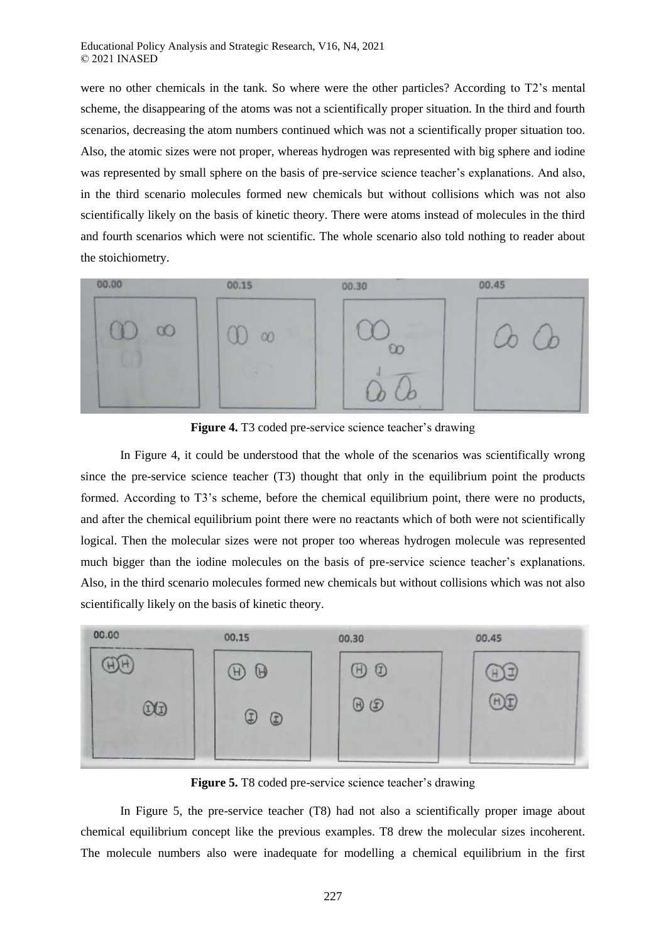were no other chemicals in the tank. So where were the other particles? According to T2's mental scheme, the disappearing of the atoms was not a scientifically proper situation. In the third and fourth scenarios, decreasing the atom numbers continued which was not a scientifically proper situation too. Also, the atomic sizes were not proper, whereas hydrogen was represented with big sphere and iodine was represented by small sphere on the basis of pre-service science teacher's explanations. And also, in the third scenario molecules formed new chemicals but without collisions which was not also scientifically likely on the basis of kinetic theory. There were atoms instead of molecules in the third and fourth scenarios which were not scientific. The whole scenario also told nothing to reader about the stoichiometry.



**Figure 4.** T3 coded pre-service science teacher's drawing

In Figure 4, it could be understood that the whole of the scenarios was scientifically wrong since the pre-service science teacher (T3) thought that only in the equilibrium point the products formed. According to T3's scheme, before the chemical equilibrium point, there were no products, and after the chemical equilibrium point there were no reactants which of both were not scientifically logical. Then the molecular sizes were not proper too whereas hydrogen molecule was represented much bigger than the iodine molecules on the basis of pre-service science teacher's explanations. Also, in the third scenario molecules formed new chemicals but without collisions which was not also scientifically likely on the basis of kinetic theory.



**Figure 5.** T8 coded pre-service science teacher's drawing

In Figure 5, the pre-service teacher (T8) had not also a scientifically proper image about chemical equilibrium concept like the previous examples. T8 drew the molecular sizes incoherent. The molecule numbers also were inadequate for modelling a chemical equilibrium in the first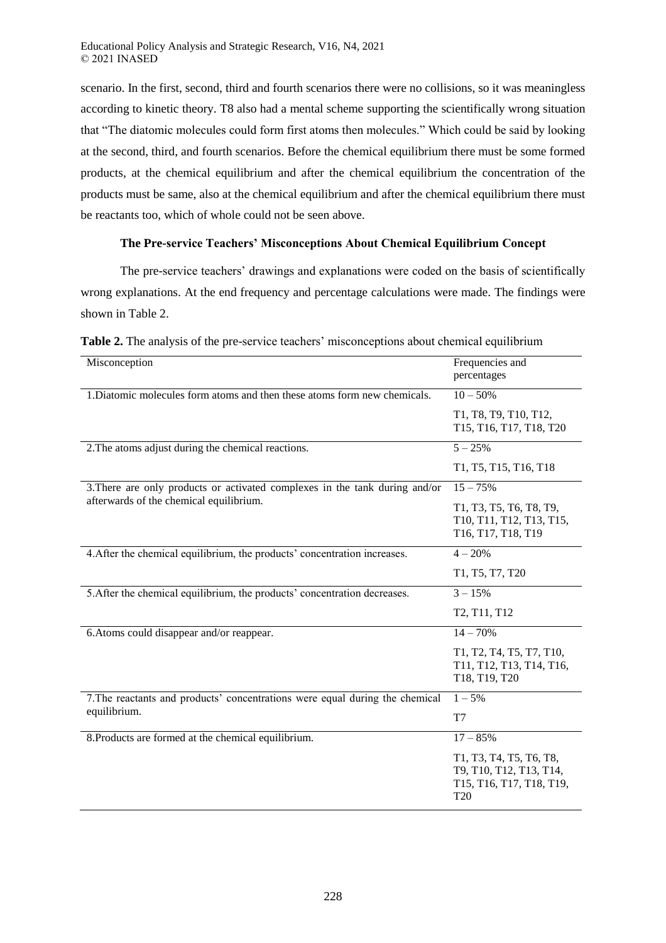scenario. In the first, second, third and fourth scenarios there were no collisions, so it was meaningless according to kinetic theory. T8 also had a mental scheme supporting the scientifically wrong situation that "The diatomic molecules could form first atoms then molecules." Which could be said by looking at the second, third, and fourth scenarios. Before the chemical equilibrium there must be some formed products, at the chemical equilibrium and after the chemical equilibrium the concentration of the products must be same, also at the chemical equilibrium and after the chemical equilibrium there must be reactants too, which of whole could not be seen above.

# **The Pre-service Teachers' Misconceptions About Chemical Equilibrium Concept**

The pre-service teachers' drawings and explanations were coded on the basis of scientifically wrong explanations. At the end frequency and percentage calculations were made. The findings were shown in Table 2.

| Misconception                                                                | Frequencies and                                                                                   |
|------------------------------------------------------------------------------|---------------------------------------------------------------------------------------------------|
|                                                                              | percentages                                                                                       |
| 1. Diatomic molecules form atoms and then these atoms form new chemicals.    | $10 - 50%$                                                                                        |
|                                                                              | T1, T8, T9, T10, T12,<br>T15, T16, T17, T18, T20                                                  |
| 2. The atoms adjust during the chemical reactions.                           | $5 - 25%$                                                                                         |
|                                                                              | T1, T5, T15, T16, T18                                                                             |
| 3. There are only products or activated complexes in the tank during and/or  | $15 - 75%$                                                                                        |
| afterwards of the chemical equilibrium.                                      | T1, T3, T5, T6, T8, T9,<br>T10, T11, T12, T13, T15,<br>T16, T17, T18, T19                         |
| 4. After the chemical equilibrium, the products' concentration increases.    | $4 - 20%$                                                                                         |
|                                                                              | T1, T5, T7, T20                                                                                   |
| 5. After the chemical equilibrium, the products' concentration decreases.    | $3 - 15%$                                                                                         |
|                                                                              | T2, T11, T12                                                                                      |
| 6. Atoms could disappear and/or reappear.                                    | $14 - 70%$                                                                                        |
|                                                                              | T1, T2, T4, T5, T7, T10,<br>T11, T12, T13, T14, T16,<br>T18, T19, T20                             |
| 7. The reactants and products' concentrations were equal during the chemical | $1 - 5\%$                                                                                         |
| equilibrium.                                                                 | T7                                                                                                |
| 8. Products are formed at the chemical equilibrium.                          | $17 - 85%$                                                                                        |
|                                                                              | T1, T3, T4, T5, T6, T8,<br>T9, T10, T12, T13, T14,<br>T15, T16, T17, T18, T19,<br>T <sub>20</sub> |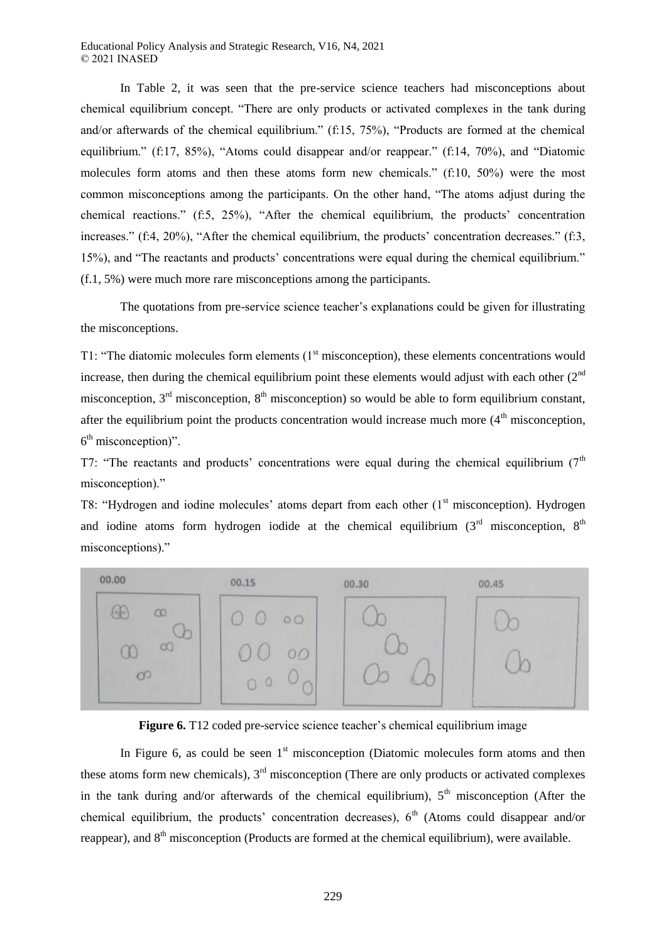In Table 2, it was seen that the pre-service science teachers had misconceptions about chemical equilibrium concept. "There are only products or activated complexes in the tank during and/or afterwards of the chemical equilibrium." (f:15, 75%), "Products are formed at the chemical equilibrium." (f:17, 85%), "Atoms could disappear and/or reappear." (f:14, 70%), and "Diatomic molecules form atoms and then these atoms form new chemicals." (f:10, 50%) were the most common misconceptions among the participants. On the other hand, "The atoms adjust during the chemical reactions." (f:5, 25%), "After the chemical equilibrium, the products' concentration increases." (f:4, 20%), "After the chemical equilibrium, the products' concentration decreases." (f:3, 15%), and "The reactants and products' concentrations were equal during the chemical equilibrium." (f.1, 5%) were much more rare misconceptions among the participants.

The quotations from pre-service science teacher's explanations could be given for illustrating the misconceptions.

T1: "The diatomic molecules form elements  $(1<sup>st</sup>$  misconception), these elements concentrations would increase, then during the chemical equilibrium point these elements would adjust with each other  $(2<sup>nd</sup>$ misconception,  $3<sup>rd</sup>$  misconception,  $8<sup>th</sup>$  misconception) so would be able to form equilibrium constant, after the equilibrium point the products concentration would increase much more  $(4<sup>th</sup>$  misconception, 6<sup>th</sup> misconception)".

T7: "The reactants and products' concentrations were equal during the chemical equilibrium  $(7<sup>th</sup>$ misconception)."

T8: "Hydrogen and iodine molecules' atoms depart from each other (1<sup>st</sup> misconception). Hydrogen and iodine atoms form hydrogen iodide at the chemical equilibrium  $(3<sup>rd</sup>$  misconception,  $8<sup>th</sup>$ misconceptions)."





In Figure 6, as could be seen  $1<sup>st</sup>$  misconception (Diatomic molecules form atoms and then these atoms form new chemicals),  $3<sup>rd</sup>$  misconception (There are only products or activated complexes in the tank during and/or afterwards of the chemical equilibrium),  $5<sup>th</sup>$  misconception (After the chemical equilibrium, the products' concentration decreases),  $6<sup>th</sup>$  (Atoms could disappear and/or reappear), and 8<sup>th</sup> misconception (Products are formed at the chemical equilibrium), were available.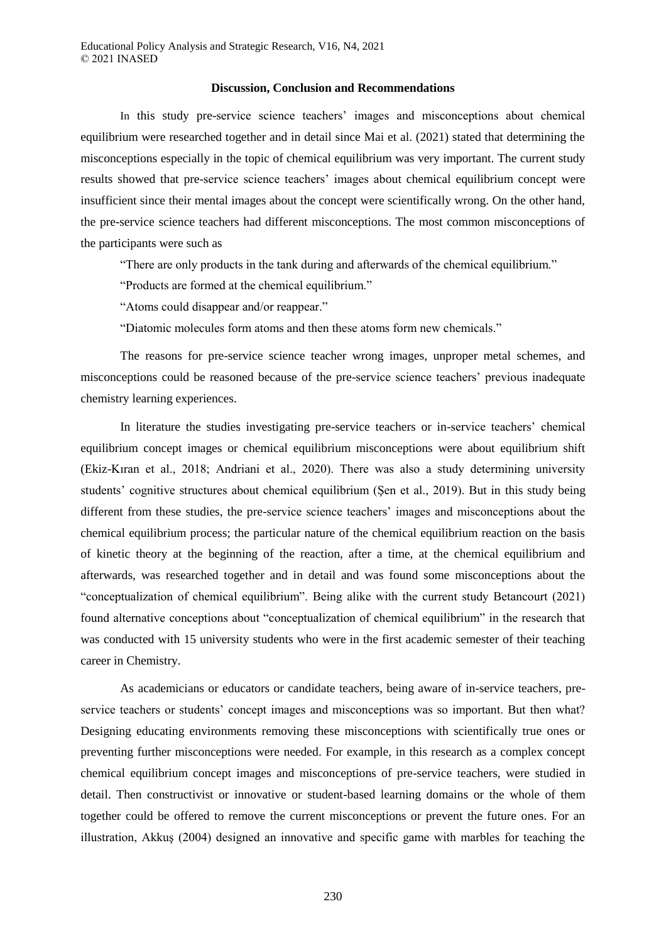#### **Discussion, Conclusion and Recommendations**

In this study pre-service science teachers' images and misconceptions about chemical equilibrium were researched together and in detail since Mai et al. (2021) stated that determining the misconceptions especially in the topic of chemical equilibrium was very important. The current study results showed that pre-service science teachers' images about chemical equilibrium concept were insufficient since their mental images about the concept were scientifically wrong. On the other hand, the pre-service science teachers had different misconceptions. The most common misconceptions of the participants were such as

"There are only products in the tank during and afterwards of the chemical equilibrium."

"Products are formed at the chemical equilibrium."

"Atoms could disappear and/or reappear."

"Diatomic molecules form atoms and then these atoms form new chemicals."

The reasons for pre-service science teacher wrong images, unproper metal schemes, and misconceptions could be reasoned because of the pre-service science teachers' previous inadequate chemistry learning experiences.

In literature the studies investigating pre-service teachers or in-service teachers' chemical equilibrium concept images or chemical equilibrium misconceptions were about equilibrium shift (Ekiz-Kıran et al., 2018; Andriani et al., 2020). There was also a study determining university students' cognitive structures about chemical equilibrium (Şen et al., 2019). But in this study being different from these studies, the pre-service science teachers' images and misconceptions about the chemical equilibrium process; the particular nature of the chemical equilibrium reaction on the basis of kinetic theory at the beginning of the reaction, after a time, at the chemical equilibrium and afterwards, was researched together and in detail and was found some misconceptions about the "conceptualization of chemical equilibrium". Being alike with the current study Betancourt (2021) found alternative conceptions about "conceptualization of chemical equilibrium" in the research that was conducted with 15 university students who were in the first academic semester of their teaching career in Chemistry.

As academicians or educators or candidate teachers, being aware of in-service teachers, preservice teachers or students' concept images and misconceptions was so important. But then what? Designing educating environments removing these misconceptions with scientifically true ones or preventing further misconceptions were needed. For example, in this research as a complex concept chemical equilibrium concept images and misconceptions of pre-service teachers, were studied in detail. Then constructivist or innovative or student-based learning domains or the whole of them together could be offered to remove the current misconceptions or prevent the future ones. For an illustration, Akkuş (2004) designed an innovative and specific game with marbles for teaching the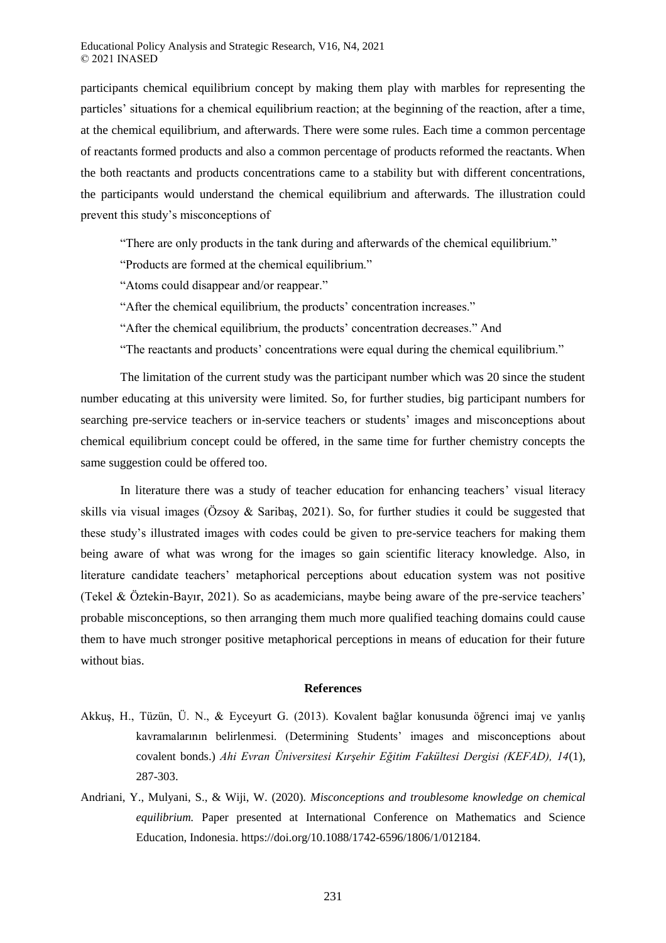participants chemical equilibrium concept by making them play with marbles for representing the particles' situations for a chemical equilibrium reaction; at the beginning of the reaction, after a time, at the chemical equilibrium, and afterwards. There were some rules. Each time a common percentage of reactants formed products and also a common percentage of products reformed the reactants. When the both reactants and products concentrations came to a stability but with different concentrations, the participants would understand the chemical equilibrium and afterwards. The illustration could prevent this study's misconceptions of

"There are only products in the tank during and afterwards of the chemical equilibrium."

"Products are formed at the chemical equilibrium."

"Atoms could disappear and/or reappear."

"After the chemical equilibrium, the products' concentration increases."

"After the chemical equilibrium, the products' concentration decreases." And

"The reactants and products' concentrations were equal during the chemical equilibrium."

The limitation of the current study was the participant number which was 20 since the student number educating at this university were limited. So, for further studies, big participant numbers for searching pre-service teachers or in-service teachers or students' images and misconceptions about chemical equilibrium concept could be offered, in the same time for further chemistry concepts the same suggestion could be offered too.

In literature there was a study of teacher education for enhancing teachers' visual literacy skills via visual images (Özsoy & Saribaş, 2021). So, for further studies it could be suggested that these study's illustrated images with codes could be given to pre-service teachers for making them being aware of what was wrong for the images so gain scientific literacy knowledge. Also, in literature candidate teachers' metaphorical perceptions about education system was not positive (Tekel & Öztekin-Bayır, 2021). So as academicians, maybe being aware of the pre-service teachers' probable misconceptions, so then arranging them much more qualified teaching domains could cause them to have much stronger positive metaphorical perceptions in means of education for their future without bias.

### **References**

- Akkuş, H., Tüzün, Ü. N., & Eyceyurt G. (2013). Kovalent bağlar konusunda öğrenci imaj ve yanlış kavramalarının belirlenmesi. (Determining Students' images and misconceptions about covalent bonds.) *Ahi Evran Üniversitesi Kırşehir Eğitim Fakültesi Dergisi (KEFAD), 14*(1), 287-303.
- Andriani, Y., Mulyani, S., & Wiji, W. (2020). *Misconceptions and troublesome knowledge on chemical equilibrium.* Paper presented at International Conference on Mathematics and Science Education, Indonesia. https://doi.org/10.1088/1742-6596/1806/1/012184.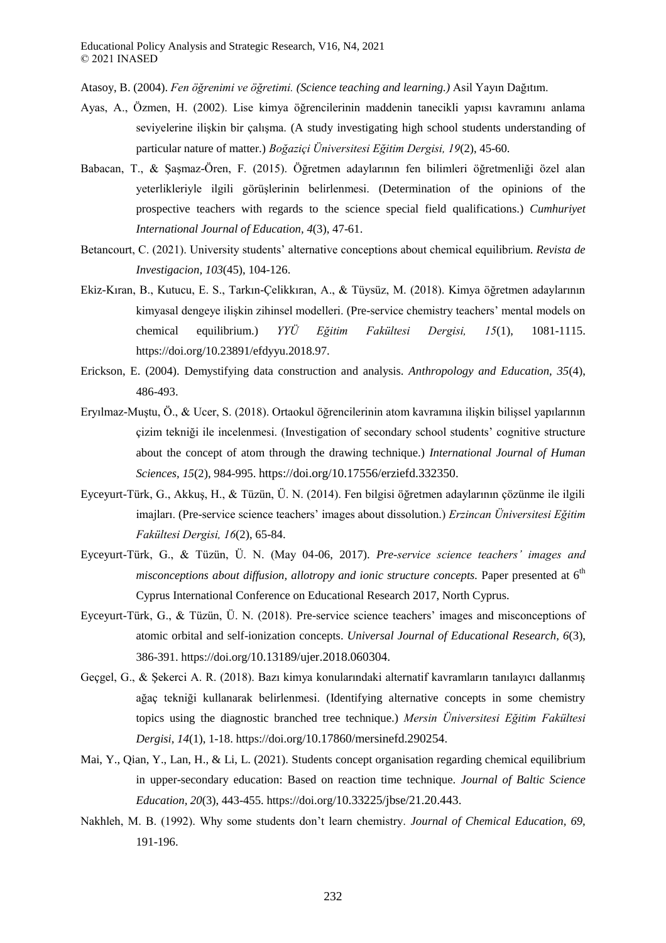Atasoy, B. (2004). *Fen öğrenimi ve öğretimi. (Science teaching and learning.)* Asil Yayın Dağıtım.

- Ayas, A., Özmen, H. (2002). Lise kimya öğrencilerinin maddenin tanecikli yapısı kavramını anlama seviyelerine ilişkin bir çalışma. (A study investigating high school students understanding of particular nature of matter.) *Boğaziçi Üniversitesi Eğitim Dergisi, 19*(2), 45-60.
- Babacan, T., & Şaşmaz-Ören, F. (2015). Öğretmen adaylarının fen bilimleri öğretmenliği özel alan yeterlikleriyle ilgili görüşlerinin belirlenmesi. (Determination of the opinions of the prospective teachers with regards to the science special field qualifications.) *Cumhuriyet International Journal of Education, 4*(3), 47-61.
- Betancourt, C. (2021). University students' alternative conceptions about chemical equilibrium. *Revista de Investigacion, 103*(45), 104-126.
- Ekiz-Kıran, B., Kutucu, E. S., Tarkın-Çelikkıran, A., & Tüysüz, M. (2018). Kimya öğretmen adaylarının kimyasal dengeye ilişkin zihinsel modelleri. (Pre-service chemistry teachers' mental models on chemical equilibrium.) *YYÜ Eğitim Fakültesi Dergisi, 15*(1), 1081-1115. https://doi.org/10.23891/efdyyu.2018.97.
- Erickson, E. (2004). Demystifying data construction and analysis. *Anthropology and Education, 35*(4), 486-493.
- Eryılmaz-Muştu, Ö., & Ucer, S. (2018). Ortaokul öğrencilerinin atom kavramına ilişkin bilişsel yapılarının çizim tekniği ile incelenmesi. (Investigation of secondary school students' cognitive structure about the concept of atom through the drawing technique.) *International Journal of Human Sciences, 15*(2), 984-995. https://doi.org/10.17556/erziefd.332350.
- Eyceyurt-Türk, G., Akkuş, H., & Tüzün, Ü. N. (2014). Fen bilgisi öğretmen adaylarının çözünme ile ilgili imajları. (Pre-service science teachers' images about dissolution.) *Erzincan Üniversitesi Eğitim Fakültesi Dergisi, 16*(2), 65-84.
- Eyceyurt-Türk, G., & Tüzün, Ü. N. (May 04-06, 2017). *Pre-service science teachers' images and misconceptions about diffusion, allotropy and ionic structure concepts.* Paper presented at 6<sup>th</sup> Cyprus International Conference on Educational Research 2017, North Cyprus.
- Eyceyurt-Türk, G., & Tüzün, Ü. N. (2018). Pre-service science teachers' images and misconceptions of atomic orbital and self-ionization concepts. *Universal Journal of Educational Research, 6*(3), 386-391. https://doi.org/10.13189/ujer.2018.060304.
- Geçgel, G., & Şekerci A. R. (2018). Bazı kimya konularındaki alternatif kavramların tanılayıcı dallanmış ağaç tekniği kullanarak belirlenmesi. (Identifying alternative concepts in some chemistry topics using the diagnostic branched tree technique.) *Mersin Üniversitesi Eğitim Fakültesi Dergisi, 14*(1), 1-18. https://doi.org/10.17860/mersinefd.290254.
- Mai, Y., Qian, Y., Lan, H., & Li, L. (2021). Students concept organisation regarding chemical equilibrium in upper-secondary education: Based on reaction time technique. *Journal of Baltic Science Education, 20*(3), 443-455. https://doi.org/10.33225/jbse/21.20.443.
- Nakhleh, M. B. (1992). Why some students don't learn chemistry. *Journal of Chemical Education, 69,* 191-196.